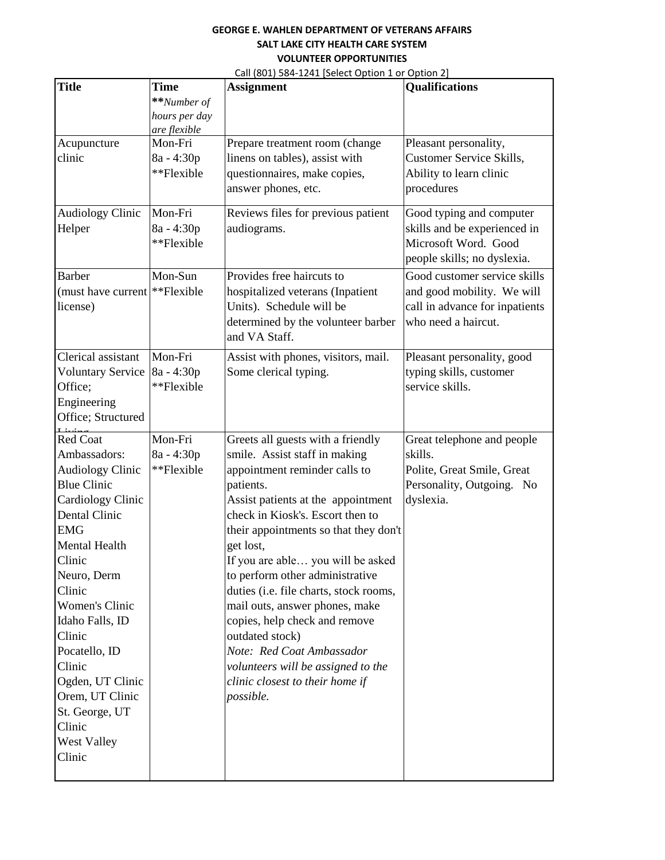| <b>Title</b>                                                                                                                                                                                                                                                                                                                                                                 | <b>Time</b>                                         | <b>Assignment</b>                                                                                                                                                                                                                                                                                                                                                                                                                                                                                                                                                           | <b>Qualifications</b>                                                                                               |
|------------------------------------------------------------------------------------------------------------------------------------------------------------------------------------------------------------------------------------------------------------------------------------------------------------------------------------------------------------------------------|-----------------------------------------------------|-----------------------------------------------------------------------------------------------------------------------------------------------------------------------------------------------------------------------------------------------------------------------------------------------------------------------------------------------------------------------------------------------------------------------------------------------------------------------------------------------------------------------------------------------------------------------------|---------------------------------------------------------------------------------------------------------------------|
|                                                                                                                                                                                                                                                                                                                                                                              | **Number of                                         |                                                                                                                                                                                                                                                                                                                                                                                                                                                                                                                                                                             |                                                                                                                     |
|                                                                                                                                                                                                                                                                                                                                                                              | hours per day                                       |                                                                                                                                                                                                                                                                                                                                                                                                                                                                                                                                                                             |                                                                                                                     |
| Acupuncture<br>clinic                                                                                                                                                                                                                                                                                                                                                        | are flexible<br>Mon-Fri<br>8a - 4:30p<br>**Flexible | Prepare treatment room (change<br>linens on tables), assist with<br>questionnaires, make copies,<br>answer phones, etc.                                                                                                                                                                                                                                                                                                                                                                                                                                                     | Pleasant personality,<br><b>Customer Service Skills,</b><br>Ability to learn clinic<br>procedures                   |
| <b>Audiology Clinic</b><br>Helper                                                                                                                                                                                                                                                                                                                                            | Mon-Fri<br>8a - 4:30p<br>**Flexible                 | Reviews files for previous patient<br>audiograms.                                                                                                                                                                                                                                                                                                                                                                                                                                                                                                                           | Good typing and computer<br>skills and be experienced in<br>Microsoft Word. Good<br>people skills; no dyslexia.     |
| <b>Barber</b><br>(must have current   ** Flexible<br>license)                                                                                                                                                                                                                                                                                                                | Mon-Sun                                             | Provides free haircuts to<br>hospitalized veterans (Inpatient<br>Units). Schedule will be<br>determined by the volunteer barber<br>and VA Staff.                                                                                                                                                                                                                                                                                                                                                                                                                            | Good customer service skills<br>and good mobility. We will<br>call in advance for inpatients<br>who need a haircut. |
| Clerical assistant<br><b>Voluntary Service</b><br>Office;<br>Engineering<br>Office; Structured<br>$\mathbf{L}$ is single                                                                                                                                                                                                                                                     | Mon-Fri<br>8a - 4:30p<br>**Flexible                 | Assist with phones, visitors, mail.<br>Some clerical typing.                                                                                                                                                                                                                                                                                                                                                                                                                                                                                                                | Pleasant personality, good<br>typing skills, customer<br>service skills.                                            |
| <b>Red Coat</b><br>Ambassadors:<br><b>Audiology Clinic</b><br><b>Blue Clinic</b><br>Cardiology Clinic<br>Dental Clinic<br><b>EMG</b><br><b>Mental Health</b><br>Clinic<br>Neuro, Derm<br>Clinic<br>Women's Clinic<br>Idaho Falls, ID<br>Clinic<br>Pocatello, ID<br>Clinic<br>Ogden, UT Clinic<br>Orem, UT Clinic<br>St. George, UT<br>Clinic<br><b>West Valley</b><br>Clinic | Mon-Fri<br>8a - 4:30p<br>**Flexible                 | Greets all guests with a friendly<br>smile. Assist staff in making<br>appointment reminder calls to<br>patients.<br>Assist patients at the appointment<br>check in Kiosk's. Escort then to<br>their appointments so that they don't<br>get lost,<br>If you are able you will be asked<br>to perform other administrative<br>duties (i.e. file charts, stock rooms,<br>mail outs, answer phones, make<br>copies, help check and remove<br>outdated stock)<br>Note: Red Coat Ambassador<br>volunteers will be assigned to the<br>clinic closest to their home if<br>possible. | Great telephone and people<br>skills.<br>Polite, Great Smile, Great<br>Personality, Outgoing. No<br>dyslexia.       |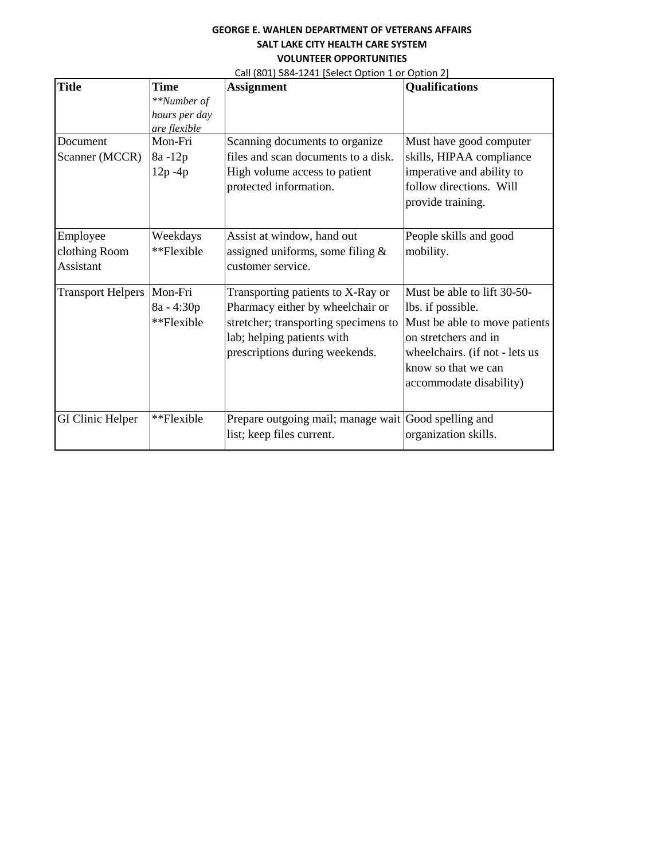| <b>Title</b>             | <b>Time</b>   | <b>Assignment</b>                                    | <b>Qualifications</b>          |
|--------------------------|---------------|------------------------------------------------------|--------------------------------|
|                          | **Number of   |                                                      |                                |
|                          | hours per day |                                                      |                                |
|                          | are flexible  |                                                      |                                |
| Document                 | Mon-Fri       | Scanning documents to organize                       | Must have good computer        |
| Scanner (MCCR)           | 8a-12p        | files and scan documents to a disk.                  | skills, HIPAA compliance       |
|                          | $12p - 4p$    | High volume access to patient                        | imperative and ability to      |
|                          |               | protected information.                               | follow directions. Will        |
|                          |               |                                                      | provide training.              |
| Employee                 | Weekdays      | Assist at window, hand out                           | People skills and good         |
| clothing Room            | **Flexible    | assigned uniforms, some filing $\&$                  | mobility.                      |
| Assistant                |               | customer service.                                    |                                |
|                          |               |                                                      |                                |
| <b>Transport Helpers</b> | Mon-Fri       | Transporting patients to X-Ray or                    | Must be able to lift 30-50-    |
|                          | $8a - 4:30p$  | Pharmacy either by wheelchair or                     | lbs. if possible.              |
|                          | **Flexible    | stretcher; transporting specimens to                 | Must be able to move patients  |
|                          |               | lab; helping patients with                           | on stretchers and in           |
|                          |               | prescriptions during weekends.                       | wheelchairs. (if not - lets us |
|                          |               |                                                      | know so that we can            |
|                          |               |                                                      | accommodate disability)        |
|                          |               |                                                      |                                |
| <b>GI Clinic Helper</b>  | **Flexible    | Prepare outgoing mail; manage wait Good spelling and |                                |
|                          |               | list; keep files current.                            | organization skills.           |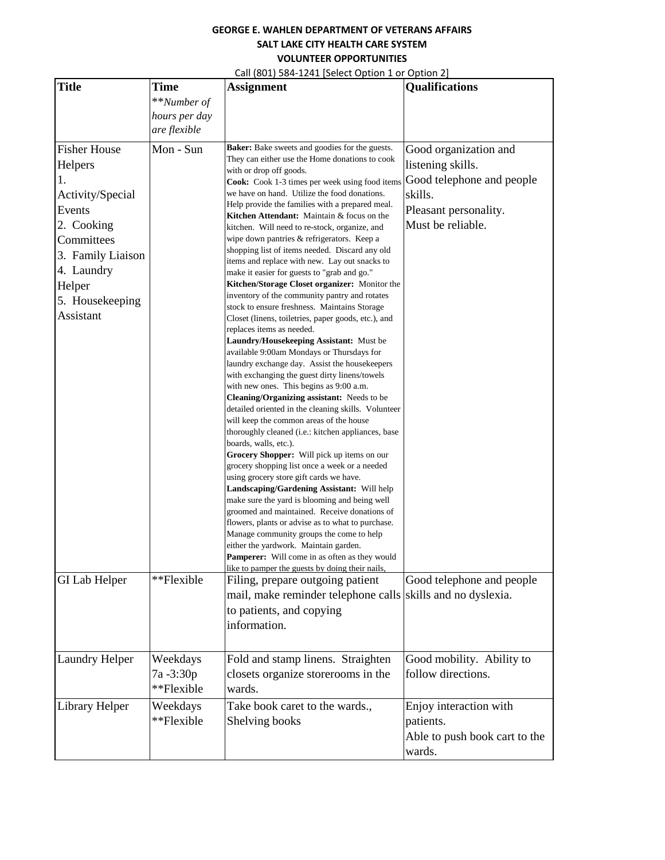| <b>Title</b>          | Time          | <b>Assignment</b>                                                                              | <b>Qualifications</b>         |
|-----------------------|---------------|------------------------------------------------------------------------------------------------|-------------------------------|
|                       | **Number of   |                                                                                                |                               |
|                       | hours per day |                                                                                                |                               |
|                       | are flexible  |                                                                                                |                               |
| <b>Fisher House</b>   | Mon - Sun     | Baker: Bake sweets and goodies for the guests.                                                 | Good organization and         |
| Helpers               |               | They can either use the Home donations to cook                                                 | listening skills.             |
| 1.                    |               | with or drop off goods.<br>Cook: Cook 1-3 times per week using food items                      | Good telephone and people     |
| Activity/Special      |               | we have on hand. Utilize the food donations.                                                   | skills.                       |
| Events                |               | Help provide the families with a prepared meal.                                                | Pleasant personality.         |
| 2. Cooking            |               | Kitchen Attendant: Maintain & focus on the                                                     | Must be reliable.             |
| Committees            |               | kitchen. Will need to re-stock, organize, and<br>wipe down pantries & refrigerators. Keep a    |                               |
| 3. Family Liaison     |               | shopping list of items needed. Discard any old                                                 |                               |
|                       |               | items and replace with new. Lay out snacks to                                                  |                               |
| 4. Laundry            |               | make it easier for guests to "grab and go."                                                    |                               |
| Helper                |               | Kitchen/Storage Closet organizer: Monitor the<br>inventory of the community pantry and rotates |                               |
| 5. Housekeeping       |               | stock to ensure freshness. Maintains Storage                                                   |                               |
| Assistant             |               | Closet (linens, toiletries, paper goods, etc.), and                                            |                               |
|                       |               | replaces items as needed.<br>Laundry/Housekeeping Assistant: Must be                           |                               |
|                       |               | available 9:00am Mondays or Thursdays for                                                      |                               |
|                       |               | laundry exchange day. Assist the housekeepers                                                  |                               |
|                       |               | with exchanging the guest dirty linens/towels                                                  |                               |
|                       |               | with new ones. This begins as 9:00 a.m.<br>Cleaning/Organizing assistant: Needs to be          |                               |
|                       |               | detailed oriented in the cleaning skills. Volunteer                                            |                               |
|                       |               | will keep the common areas of the house                                                        |                               |
|                       |               | thoroughly cleaned (i.e.: kitchen appliances, base                                             |                               |
|                       |               | boards, walls, etc.).                                                                          |                               |
|                       |               | Grocery Shopper: Will pick up items on our<br>grocery shopping list once a week or a needed    |                               |
|                       |               | using grocery store gift cards we have.                                                        |                               |
|                       |               | Landscaping/Gardening Assistant: Will help                                                     |                               |
|                       |               | make sure the yard is blooming and being well<br>groomed and maintained. Receive donations of  |                               |
|                       |               | flowers, plants or advise as to what to purchase.                                              |                               |
|                       |               | Manage community groups the come to help                                                       |                               |
|                       |               | either the yardwork. Maintain garden.                                                          |                               |
|                       |               | <b>Pamperer:</b> Will come in as often as they would                                           |                               |
| <b>GI Lab Helper</b>  | **Flexible    | like to pamper the guests by doing their nails,<br>Filing, prepare outgoing patient            | Good telephone and people     |
|                       |               | mail, make reminder telephone calls skills and no dyslexia.                                    |                               |
|                       |               | to patients, and copying                                                                       |                               |
|                       |               | information.                                                                                   |                               |
|                       |               |                                                                                                |                               |
| <b>Laundry Helper</b> | Weekdays      | Fold and stamp linens. Straighten                                                              | Good mobility. Ability to     |
|                       | 7a -3:30p     | closets organize storerooms in the                                                             | follow directions.            |
|                       | **Flexible    | wards.                                                                                         |                               |
| Library Helper        | Weekdays      | Take book caret to the wards.,                                                                 | Enjoy interaction with        |
|                       | **Flexible    | Shelving books                                                                                 | patients.                     |
|                       |               |                                                                                                | Able to push book cart to the |
|                       |               |                                                                                                | wards.                        |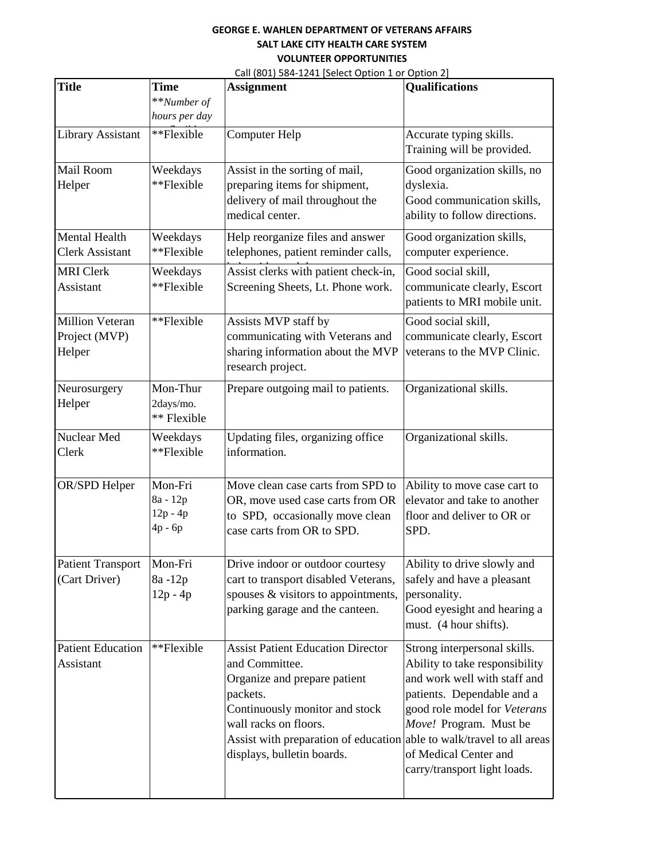| <b>Title</b>                                      | <b>Time</b>                                  | <b>Assignment</b>                                                                                                                                                                                                                                                        | <b>Qualifications</b>                                                                                                                                                                                                                           |
|---------------------------------------------------|----------------------------------------------|--------------------------------------------------------------------------------------------------------------------------------------------------------------------------------------------------------------------------------------------------------------------------|-------------------------------------------------------------------------------------------------------------------------------------------------------------------------------------------------------------------------------------------------|
|                                                   | **Number of                                  |                                                                                                                                                                                                                                                                          |                                                                                                                                                                                                                                                 |
|                                                   | hours per day                                |                                                                                                                                                                                                                                                                          |                                                                                                                                                                                                                                                 |
| <b>Library Assistant</b>                          | **Flexible                                   | Computer Help                                                                                                                                                                                                                                                            | Accurate typing skills.<br>Training will be provided.                                                                                                                                                                                           |
| Mail Room<br>Helper                               | Weekdays<br>**Flexible                       | Assist in the sorting of mail,<br>preparing items for shipment,<br>delivery of mail throughout the<br>medical center.                                                                                                                                                    | Good organization skills, no<br>dyslexia.<br>Good communication skills,<br>ability to follow directions.                                                                                                                                        |
| Mental Health<br><b>Clerk Assistant</b>           | Weekdays<br>**Flexible                       | Help reorganize files and answer<br>telephones, patient reminder calls,                                                                                                                                                                                                  | Good organization skills,<br>computer experience.                                                                                                                                                                                               |
| <b>MRI</b> Clerk<br>Assistant                     | Weekdays<br>**Flexible                       | Assist clerks with patient check-in,<br>Screening Sheets, Lt. Phone work.                                                                                                                                                                                                | Good social skill,<br>communicate clearly, Escort<br>patients to MRI mobile unit.                                                                                                                                                               |
| <b>Million Veteran</b><br>Project (MVP)<br>Helper | **Flexible                                   | Assists MVP staff by<br>communicating with Veterans and<br>sharing information about the MVP<br>research project.                                                                                                                                                        | Good social skill,<br>communicate clearly, Escort<br>veterans to the MVP Clinic.                                                                                                                                                                |
| Neurosurgery<br>Helper                            | Mon-Thur<br>2days/mo.<br>** Flexible         | Prepare outgoing mail to patients.                                                                                                                                                                                                                                       | Organizational skills.                                                                                                                                                                                                                          |
| Nuclear Med<br>Clerk                              | Weekdays<br>**Flexible                       | Updating files, organizing office<br>information.                                                                                                                                                                                                                        | Organizational skills.                                                                                                                                                                                                                          |
| OR/SPD Helper                                     | Mon-Fri<br>8a - 12p<br>$12p - 4p$<br>4p - 6p | Move clean case carts from SPD to<br>OR, move used case carts from OR<br>to SPD, occasionally move clean<br>case carts from OR to SPD.                                                                                                                                   | Ability to move case cart to<br>elevator and take to another<br>floor and deliver to OR or<br>SPD.                                                                                                                                              |
| <b>Patient Transport</b><br>(Cart Driver)         | Mon-Fri<br>8a -12p<br>$12p - 4p$             | Drive indoor or outdoor courtesy<br>cart to transport disabled Veterans,<br>spouses & visitors to appointments,<br>parking garage and the canteen.                                                                                                                       | Ability to drive slowly and<br>safely and have a pleasant<br>personality.<br>Good eyesight and hearing a<br>must. (4 hour shifts).                                                                                                              |
| <b>Patient Education</b><br>Assistant             | **Flexible                                   | <b>Assist Patient Education Director</b><br>and Committee.<br>Organize and prepare patient<br>packets.<br>Continuously monitor and stock<br>wall racks on floors.<br>Assist with preparation of education able to walk/travel to all areas<br>displays, bulletin boards. | Strong interpersonal skills.<br>Ability to take responsibility<br>and work well with staff and<br>patients. Dependable and a<br>good role model for Veterans<br>Move! Program. Must be<br>of Medical Center and<br>carry/transport light loads. |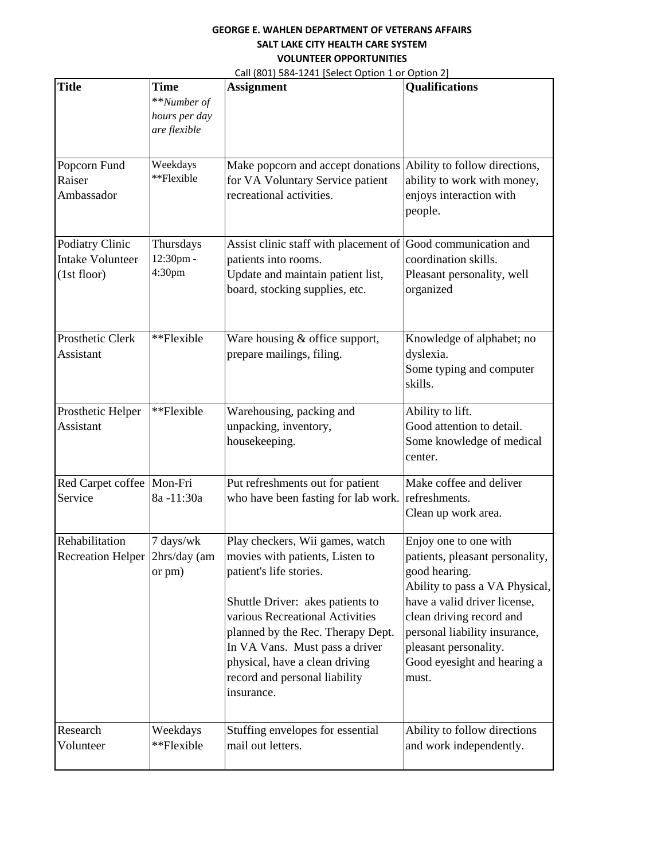| <b>Title</b>                                              | Time<br>**Number of<br>hours per day<br>are flexible | <b>Assignment</b>                                                                                                                                                                                                                                                                                                            | <b>Qualifications</b>                                                                                                                                                                                                                                                     |
|-----------------------------------------------------------|------------------------------------------------------|------------------------------------------------------------------------------------------------------------------------------------------------------------------------------------------------------------------------------------------------------------------------------------------------------------------------------|---------------------------------------------------------------------------------------------------------------------------------------------------------------------------------------------------------------------------------------------------------------------------|
| Popcorn Fund<br>Raiser<br>Ambassador                      | Weekdays<br>**Flexible                               | Make popcorn and accept donations<br>for VA Voluntary Service patient<br>recreational activities.                                                                                                                                                                                                                            | Ability to follow directions,<br>ability to work with money,<br>enjoys interaction with<br>people.                                                                                                                                                                        |
| Podiatry Clinic<br><b>Intake Volunteer</b><br>(1st floor) | Thursdays<br>12:30pm -<br>4:30pm                     | Assist clinic staff with placement of<br>patients into rooms.<br>Update and maintain patient list,<br>board, stocking supplies, etc.                                                                                                                                                                                         | Good communication and<br>coordination skills.<br>Pleasant personality, well<br>organized                                                                                                                                                                                 |
| Prosthetic Clerk<br>Assistant                             | **Flexible                                           | Ware housing & office support,<br>prepare mailings, filing.                                                                                                                                                                                                                                                                  | Knowledge of alphabet; no<br>dyslexia.<br>Some typing and computer<br>skills.                                                                                                                                                                                             |
| Prosthetic Helper<br>Assistant                            | **Flexible                                           | Warehousing, packing and<br>unpacking, inventory,<br>housekeeping.                                                                                                                                                                                                                                                           | Ability to lift.<br>Good attention to detail.<br>Some knowledge of medical<br>center.                                                                                                                                                                                     |
| Red Carpet coffee<br>Service                              | Mon-Fri<br>8a-11:30a                                 | Put refreshments out for patient<br>who have been fasting for lab work.                                                                                                                                                                                                                                                      | Make coffee and deliver<br>refreshments.<br>Clean up work area.                                                                                                                                                                                                           |
| Rehabilitation<br><b>Recreation Helper</b>                | 7 days/wk<br>2hrs/day (am<br>or pm)                  | Play checkers, Wii games, watch<br>movies with patients, Listen to<br>patient's life stories.<br>Shuttle Driver: akes patients to<br>various Recreational Activities<br>planned by the Rec. Therapy Dept.<br>In VA Vans. Must pass a driver<br>physical, have a clean driving<br>record and personal liability<br>insurance. | Enjoy one to one with<br>patients, pleasant personality,<br>good hearing.<br>Ability to pass a VA Physical,<br>have a valid driver license,<br>clean driving record and<br>personal liability insurance,<br>pleasant personality.<br>Good eyesight and hearing a<br>must. |
| Research<br>Volunteer                                     | Weekdays<br>**Flexible                               | Stuffing envelopes for essential<br>mail out letters.                                                                                                                                                                                                                                                                        | Ability to follow directions<br>and work independently.                                                                                                                                                                                                                   |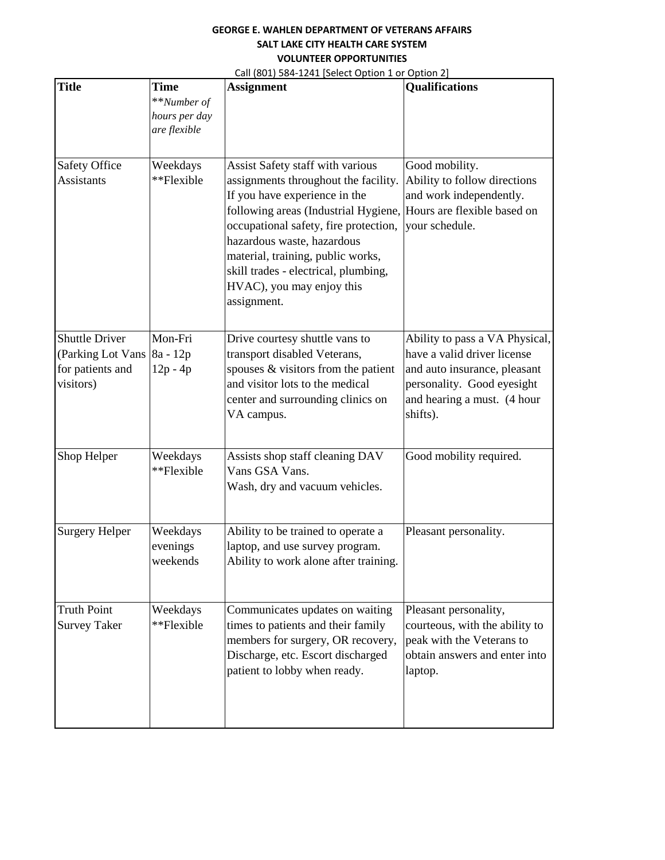| <b>Title</b>                                                                | Time<br>**Number of<br>hours per day | <b>Assignment</b>                                                                                                                                                                                                                                                                                                                                 | Qualifications                                                                                                                                                         |
|-----------------------------------------------------------------------------|--------------------------------------|---------------------------------------------------------------------------------------------------------------------------------------------------------------------------------------------------------------------------------------------------------------------------------------------------------------------------------------------------|------------------------------------------------------------------------------------------------------------------------------------------------------------------------|
|                                                                             | are flexible                         |                                                                                                                                                                                                                                                                                                                                                   |                                                                                                                                                                        |
| <b>Safety Office</b><br><b>Assistants</b>                                   | Weekdays<br>**Flexible               | Assist Safety staff with various<br>assignments throughout the facility.<br>If you have experience in the<br>following areas (Industrial Hygiene,<br>occupational safety, fire protection,<br>hazardous waste, hazardous<br>material, training, public works,<br>skill trades - electrical, plumbing,<br>HVAC), you may enjoy this<br>assignment. | Good mobility.<br>Ability to follow directions<br>and work independently.<br>Hours are flexible based on<br>your schedule.                                             |
| <b>Shuttle Driver</b><br>(Parking Lot Vans<br>for patients and<br>visitors) | Mon-Fri<br>8a - 12p<br>12p - 4p      | Drive courtesy shuttle vans to<br>transport disabled Veterans,<br>spouses & visitors from the patient<br>and visitor lots to the medical<br>center and surrounding clinics on<br>VA campus.                                                                                                                                                       | Ability to pass a VA Physical,<br>have a valid driver license<br>and auto insurance, pleasant<br>personality. Good eyesight<br>and hearing a must. (4 hour<br>shifts). |
| Shop Helper                                                                 | Weekdays<br>**Flexible               | Assists shop staff cleaning DAV<br>Vans GSA Vans.<br>Wash, dry and vacuum vehicles.                                                                                                                                                                                                                                                               | Good mobility required.                                                                                                                                                |
| <b>Surgery Helper</b>                                                       | Weekdays<br>evenings<br>weekends     | Ability to be trained to operate a<br>laptop, and use survey program.<br>Ability to work alone after training.                                                                                                                                                                                                                                    | Pleasant personality.                                                                                                                                                  |
| <b>Truth Point</b><br><b>Survey Taker</b>                                   | Weekdays<br>**Flexible               | Communicates updates on waiting<br>times to patients and their family<br>members for surgery, OR recovery,<br>Discharge, etc. Escort discharged<br>patient to lobby when ready.                                                                                                                                                                   | Pleasant personality,<br>courteous, with the ability to<br>peak with the Veterans to<br>obtain answers and enter into<br>laptop.                                       |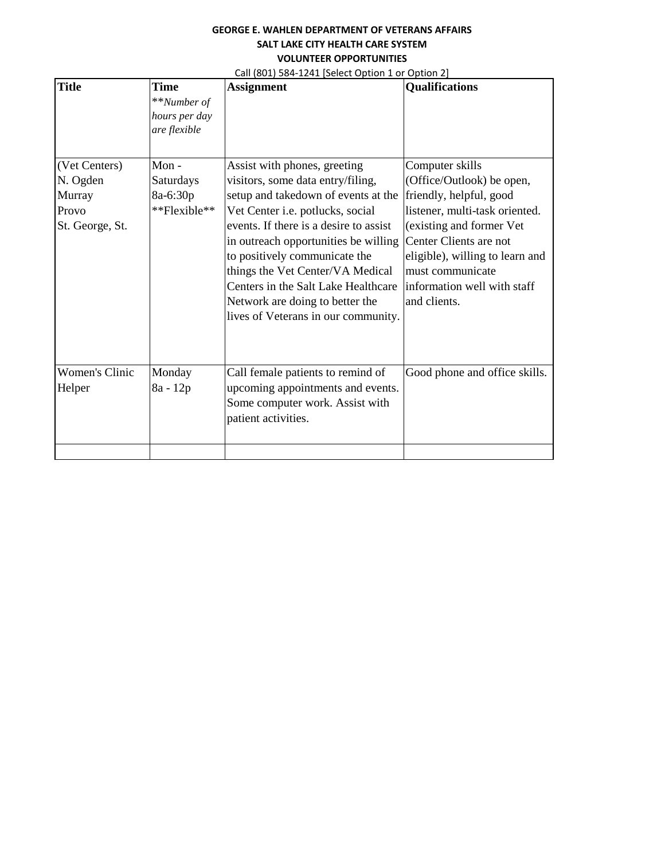| <b>Title</b>             | <b>Time</b>                                             | Call (601) 364-1241 [Select Option 1 of Option 2]<br><b>Assignment</b>                                                                                                                                                                                               | <b>Qualifications</b>                                                                                                                                    |
|--------------------------|---------------------------------------------------------|----------------------------------------------------------------------------------------------------------------------------------------------------------------------------------------------------------------------------------------------------------------------|----------------------------------------------------------------------------------------------------------------------------------------------------------|
| (Vet Centers)            | **Number of<br>hours per day<br>are flexible<br>$Mon -$ | Assist with phones, greeting                                                                                                                                                                                                                                         | Computer skills                                                                                                                                          |
| N. Ogden                 | Saturdays                                               | visitors, some data entry/filing,                                                                                                                                                                                                                                    | (Office/Outlook) be open,                                                                                                                                |
| Murray                   | 8a-6:30p                                                | setup and takedown of events at the                                                                                                                                                                                                                                  | friendly, helpful, good                                                                                                                                  |
| Provo                    | **Flexible**                                            | Vet Center i.e. potlucks, social                                                                                                                                                                                                                                     | listener, multi-task oriented.                                                                                                                           |
| St. George, St.          |                                                         | events. If there is a desire to assist<br>in outreach opportunities be willing<br>to positively communicate the<br>things the Vet Center/VA Medical<br>Centers in the Salt Lake Healthcare<br>Network are doing to better the<br>lives of Veterans in our community. | (existing and former Vet<br>Center Clients are not<br>eligible), willing to learn and<br>must communicate<br>information well with staff<br>and clients. |
| Women's Clinic<br>Helper | Monday<br>8a - 12p                                      | Call female patients to remind of<br>upcoming appointments and events.<br>Some computer work. Assist with<br>patient activities.                                                                                                                                     | Good phone and office skills.                                                                                                                            |